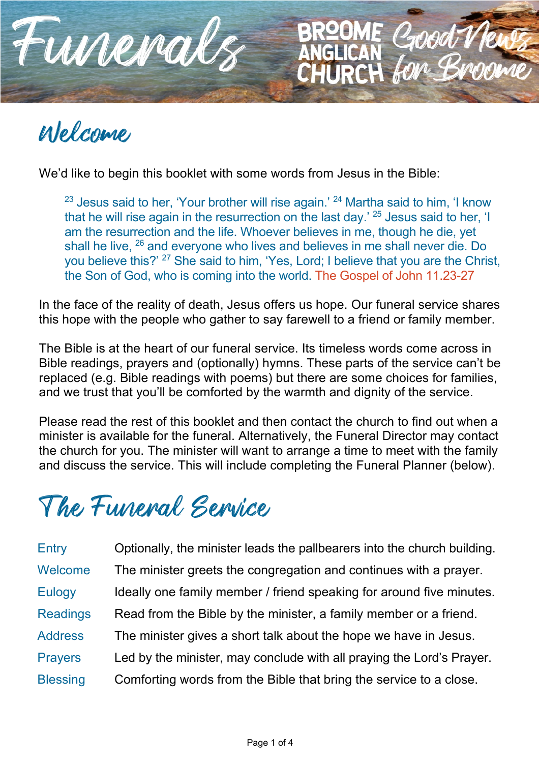

# Welcome

We'd like to begin this booklet with some words from Jesus in the Bible:

 $23$  Jesus said to her, 'Your brother will rise again.'  $24$  Martha said to him, 'I know that he will rise again in the resurrection on the last day.<sup>' 25</sup> Jesus said to her, 'I am the resurrection and the life. Whoever believes in me, though he die, yet shall he live, <sup>26</sup> and everyone who lives and believes in me shall never die. Do you believe this?' <sup>27</sup> She said to him, 'Yes, Lord; I believe that you are the Christ, the Son of God, who is coming into the world. The Gospel of John 11.23-27

**JRCH** 

In the face of the reality of death, Jesus offers us hope. Our funeral service shares this hope with the people who gather to say farewell to a friend or family member.

The Bible is at the heart of our funeral service. Its timeless words come across in Bible readings, prayers and (optionally) hymns. These parts of the service can't be replaced (e.g. Bible readings with poems) but there are some choices for families, and we trust that you'll be comforted by the warmth and dignity of the service.

Please read the rest of this booklet and then contact the church to find out when a minister is available for the funeral. Alternatively, the Funeral Director may contact the church for you. The minister will want to arrange a time to meet with the family and discuss the service. This will include completing the Funeral Planner (below).

The Funeral Service

Entry Optionally, the minister leads the pallbearers into the church building. Welcome The minister greets the congregation and continues with a prayer. Eulogy Ideally one family member / friend speaking for around five minutes. Readings Read from the Bible by the minister, a family member or a friend. Address The minister gives a short talk about the hope we have in Jesus. Prayers Led by the minister, may conclude with all praying the Lord's Prayer. Blessing Comforting words from the Bible that bring the service to a close.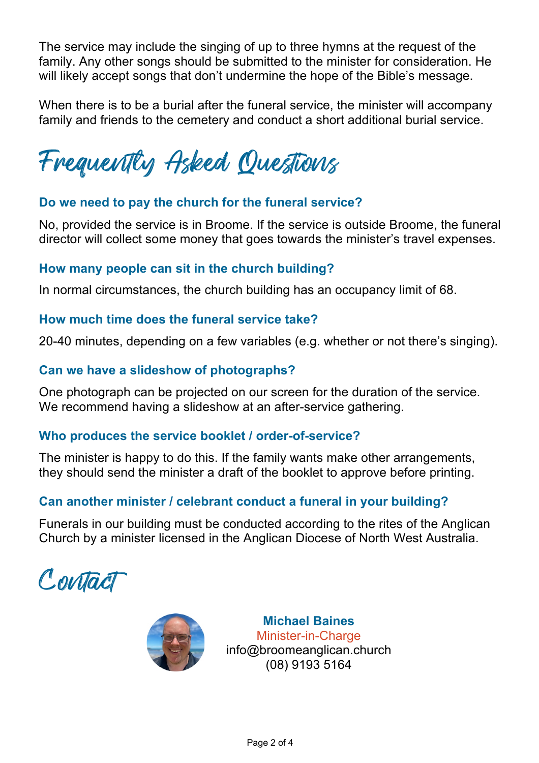The service may include the singing of up to three hymns at the request of the family. Any other songs should be submitted to the minister for consideration. He will likely accept songs that don't undermine the hope of the Bible's message.

When there is to be a burial after the funeral service, the minister will accompany family and friends to the cemetery and conduct a short additional burial service.

Frequently Asked Questions

## **Do we need to pay the church for the funeral service?**

No, provided the service is in Broome. If the service is outside Broome, the funeral director will collect some money that goes towards the minister's travel expenses.

### **How many people can sit in the church building?**

In normal circumstances, the church building has an occupancy limit of 68.

#### **How much time does the funeral service take?**

20-40 minutes, depending on a few variables (e.g. whether or not there's singing).

## **Can we have a slideshow of photographs?**

One photograph can be projected on our screen for the duration of the service. We recommend having a slideshow at an after-service gathering.

### **Who produces the service booklet / order-of-service?**

The minister is happy to do this. If the family wants make other arrangements, they should send the minister a draft of the booklet to approve before printing.

# **Can another minister / celebrant conduct a funeral in your building?**

Funerals in our building must be conducted according to the rites of the Anglican Church by a minister licensed in the Anglican Diocese of North West Australia.

Contact



**Michael Baines** Minister-in-Charge info@broomeanglican.church (08) 9193 5164